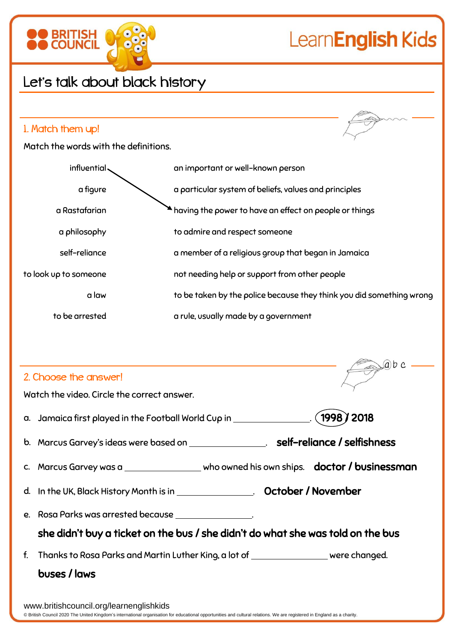

| $\rightarrow$<br>2. Choose the answer!                                                       |  |  |  |  |  |  |  |
|----------------------------------------------------------------------------------------------|--|--|--|--|--|--|--|
| Watch the video. Circle the correct answer.                                                  |  |  |  |  |  |  |  |
|                                                                                              |  |  |  |  |  |  |  |
| b. Marcus Garvey's ideas were based on _________________. self-reliance / selfishness        |  |  |  |  |  |  |  |
| c. Marcus Garvey was a __________________ who owned his own ships. doctor / businessman      |  |  |  |  |  |  |  |
| d. In the UK, Black History Month is in _________________. October / November                |  |  |  |  |  |  |  |
| e. Rosa Parks was arrested because ________________.                                         |  |  |  |  |  |  |  |
| she didn't buy a ticket on the bus / she didn't do what she was told on the bus              |  |  |  |  |  |  |  |
| Thanks to Rosa Parks and Martin Luther King, a lot of __________________ were changed.<br>f. |  |  |  |  |  |  |  |
| buses / laws                                                                                 |  |  |  |  |  |  |  |
|                                                                                              |  |  |  |  |  |  |  |

 $Q<sub>h</sub>$ 

www.britishcouncil.org/learnenglishkids © British Council 2020 The United Kingdom's international organisation for educational opportunities and cultural relations. We are registered in England as a charity.